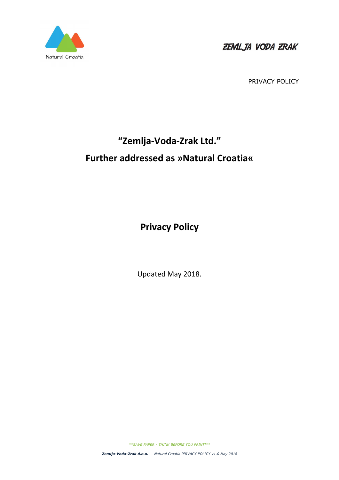

PRIVACY POLICY

# **"Zemlja-Voda-Zrak Ltd." Further addressed as »Natural Croatia«**

**Privacy Policy** 

Updated May 2018.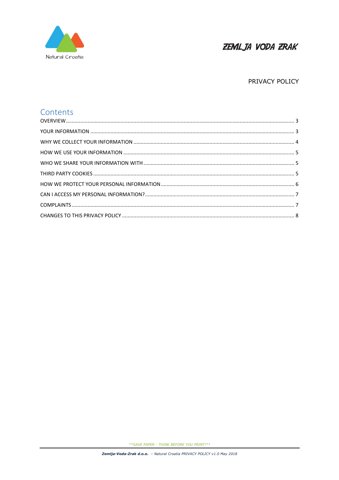

#### PRIVACY POLICY

## Contents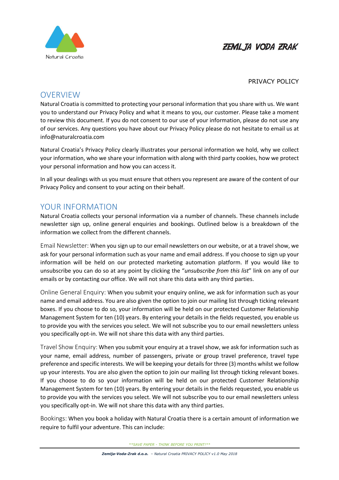

#### PRIVACY POLICY

## **OVERVIEW**

Natural Croatia is committed to protecting your personal information that you share with us. We want you to understand our Privacy Policy and what it means to you, our customer. Please take a moment to review this document. If you do not consent to our use of your information, please do not use any of our services. Any questions you have about our Privacy Policy please do not hesitate to email us at info@naturalcroatia.com

Natural Croatia's Privacy Policy clearly illustrates your personal information we hold, why we collect your information, who we share your information with along with third party cookies, how we protect your personal information and how you can access it.

In all your dealings with us you must ensure that others you represent are aware of the content of our Privacy Policy and consent to your acting on their behalf.

## YOUR INFORMATION

Natural Croatia collects your personal information via a number of channels. These channels include newsletter sign up, online general enquiries and bookings. Outlined below is a breakdown of the information we collect from the different channels.

Email Newsletter: When you sign up to our email newsletters on our website, or at a travel show, we ask for your personal information such as your name and email address. If you choose to sign up your information will be held on our protected marketing automation platform. If you would like to unsubscribe you can do so at any point by clicking the "*unsubscribe from this list*" link on any of our emails or by contacting our office. We will not share this data with any third parties.

Online General Enquiry: When you submit your enquiry online, we ask for information such as your name and email address. You are also given the option to join our mailing list through ticking relevant boxes. If you choose to do so, your information will be held on our protected Customer Relationship Management System for ten (10) years. By entering your details in the fields requested, you enable us to provide you with the services you select. We will not subscribe you to our email newsletters unless you specifically opt-in. We will not share this data with any third parties.

Travel Show Enquiry: When you submit your enquiry at a travel show, we ask for information such as your name, email address, number of passengers, private or group travel preference, travel type preference and specific interests. We will be keeping your details for three (3) months whilst we follow up your interests. You are also given the option to join our mailing list through ticking relevant boxes. If you choose to do so your information will be held on our protected Customer Relationship Management System for ten (10) years. By entering your details in the fields requested, you enable us to provide you with the services you select. We will not subscribe you to our email newsletters unless you specifically opt-in. We will not share this data with any third parties.

Bookings: When you book a holiday with Natural Croatia there is a certain amount of information we require to fulfil your adventure. This can include: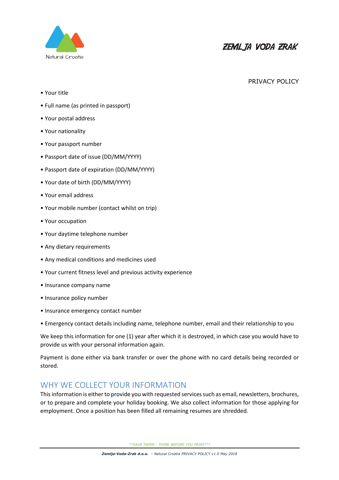

#### PRIVACY POLICY

- Your title
- Full name (as printed in passport)
- Your postal address
- Your nationality
- Your passport number
- Passport date of issue (DD/MM/YYYY)
- Passport date of expiration (DD/MM/YYYY)
- Your date of birth (DD/MM/YYYY)
- Your email address
- Your mobile number (contact whilst on trip)
- Your occupation
- Your daytime telephone number
- Any dietary requirements
- Any medical conditions and medicines used
- Your current fitness level and previous activity experience
- Insurance company name
- Insurance policy number
- Insurance emergency contact number
- Emergency contact details including name, telephone number, email and their relationship to you

We keep this information for one (1) year after which it is destroyed, in which case you would have to provide us with your personal information again.

Payment is done either via bank transfer or over the phone with no card details being recorded or stored.

## WHY WE COLLECT YOUR INFORMATION

This information is either to provide you with requested services such as email, newsletters, brochures, or to prepare and complete your holiday booking. We also collect information for those applying for employment. Once a position has been filled all remaining resumes are shredded.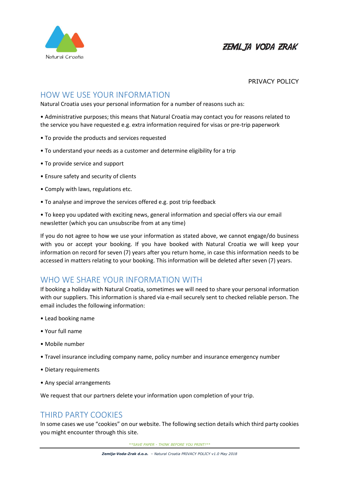

#### PRIVACY POLICY

## HOW WE USE YOUR INFORMATION

Natural Croatia uses your personal information for a number of reasons such as:

• Administrative purposes; this means that Natural Croatia may contact you for reasons related to the service you have requested e.g. extra information required for visas or pre-trip paperwork

- To provide the products and services requested
- To understand your needs as a customer and determine eligibility for a trip
- To provide service and support
- Ensure safety and security of clients
- Comply with laws, regulations etc.
- To analyse and improve the services offered e.g. post trip feedback

• To keep you updated with exciting news, general information and special offers via our email newsletter (which you can unsubscribe from at any time)

If you do not agree to how we use your information as stated above, we cannot engage/do business with you or accept your booking. If you have booked with Natural Croatia we will keep your information on record for seven (7) years after you return home, in case this information needs to be accessed in matters relating to your booking. This information will be deleted after seven (7) years.

## WHO WE SHARE YOUR INFORMATION WITH

If booking a holiday with Natural Croatia, sometimes we will need to share your personal information with our suppliers. This information is shared via e-mail securely sent to checked reliable person. The email includes the following information:

- Lead booking name
- Your full name
- Mobile number
- Travel insurance including company name, policy number and insurance emergency number
- Dietary requirements
- Any special arrangements

We request that our partners delete your information upon completion of your trip.

## THIRD PARTY COOKIES

In some cases we use "cookies" on our website. The following section details which third party cookies you might encounter through this site.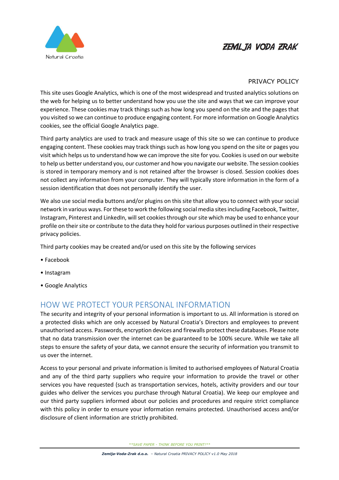

#### PRIVACY POLICY

This site uses Google Analytics, which is one of the most widespread and trusted analytics solutions on the web for helping us to better understand how you use the site and ways that we can improve your experience. These cookies may track things such as how long you spend on the site and the pages that you visited so we can continue to produce engaging content. For more information on Google Analytics cookies, see the official Google Analytics page.

Third party analytics are used to track and measure usage of this site so we can continue to produce engaging content. These cookies may track things such as how long you spend on the site or pages you visit which helps us to understand how we can improve the site for you. Cookies is used on our website to help us better understand you, our customer and how you navigate our website. The session cookies is stored in temporary memory and is not retained after the browser is closed. Session cookies does not collect any information from your computer. They will typically store information in the form of a session identification that does not personally identify the user.

We also use social media buttons and/or plugins on this site that allow you to connect with your social network in various ways. For these to work the following social media sites including Facebook, Twitter, Instagram, Pinterest and LinkedIn, will set cookies through our site which may be used to enhance your profile on their site or contribute to the data they hold for various purposes outlined in their respective privacy policies.

Third party cookies may be created and/or used on this site by the following services

- Facebook
- Instagram
- Google Analytics

## HOW WE PROTECT YOUR PERSONAL INFORMATION

The security and integrity of your personal information is important to us. All information is stored on a protected disks which are only accessed by Natural Croatia's Directors and employees to prevent unauthorised access. Passwords, encryption devices and firewalls protect these databases. Please note that no data transmission over the internet can be guaranteed to be 100% secure. While we take all steps to ensure the safety of your data, we cannot ensure the security of information you transmit to us over the internet.

Access to your personal and private information is limited to authorised employees of Natural Croatia and any of the third party suppliers who require your information to provide the travel or other services you have requested (such as transportation services, hotels, activity providers and our tour guides who deliver the services you purchase through Natural Croatia). We keep our employee and our third party suppliers informed about our policies and procedures and require strict compliance with this policy in order to ensure your information remains protected. Unauthorised access and/or disclosure of client information are strictly prohibited.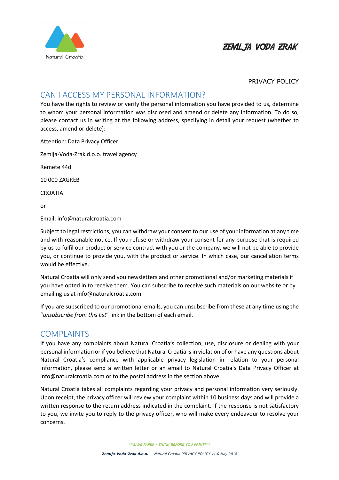

#### PRIVACY POLICY

## CAN I ACCESS MY PERSONAL INFORMATION?

You have the rights to review or verify the personal information you have provided to us, determine to whom your personal information was disclosed and amend or delete any information. To do so, please contact us in writing at the following address, specifying in detail your request (whether to access, amend or delete):

Attention: Data Privacy Officer

Zemlja-Voda-Zrak d.o.o. travel agency

Remete 44d

10 000 ZAGREB

CROATIA

or

Email: info@naturalcroatia.com

Subject to legal restrictions, you can withdraw your consent to our use of your information at any time and with reasonable notice. If you refuse or withdraw your consent for any purpose that is required by us to fulfil our product or service contract with you or the company, we will not be able to provide you, or continue to provide you, with the product or service. In which case, our cancellation terms would be effective.

Natural Croatia will only send you newsletters and other promotional and/or marketing materials if you have opted in to receive them. You can subscribe to receive such materials on our website or by emailing us at info@naturalcroatia.com.

If you are subscribed to our promotional emails, you can unsubscribe from these at any time using the "*unsubscribe from this list*" link in the bottom of each email.

## COMPLAINTS

If you have any complaints about Natural Croatia's collection, use, disclosure or dealing with your personal information or if you believe that Natural Croatia is in violation of or have any questions about Natural Croatia's compliance with applicable privacy legislation in relation to your personal information, please send a written letter or an email to Natural Croatia's Data Privacy Officer at info@naturalcroatia.com or to the postal address in the section above.

Natural Croatia takes all complaints regarding your privacy and personal information very seriously. Upon receipt, the privacy officer will review your complaint within 10 business days and will provide a written response to the return address indicated in the complaint. If the response is not satisfactory to you, we invite you to reply to the privacy officer, who will make every endeavour to resolve your concerns.